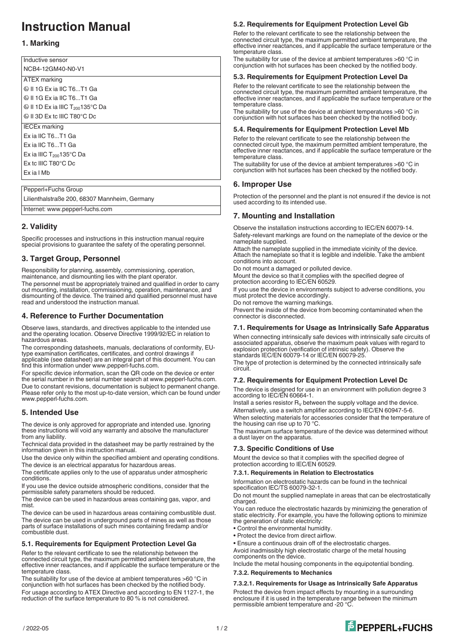# **Instruction Manual**

# **1. Marking**

| Inductive sensor                                       |
|--------------------------------------------------------|
| NCB4-12GM40-N0-V1                                      |
| ATEX marking                                           |
| ⊗ II 1G Ex ia IIC T6T1 Ga                              |
| ® II 1G Ex ia IIC T6…T1 Ga                             |
| $\circledR$ II 1D Ex ia IIIC T <sub>200</sub> 135°C Da |
| ⊗ II 3D Ex tc IIIC T80°C Dc                            |
| <b>IECEx marking</b>                                   |
| Ex ia IIC T6T1 Ga                                      |
| Ex ia IIC T6T1 Ga                                      |
| Ex ia IIIC $T_{200}$ 135°C Da                          |
| $Ex$ tc IIIC T80 $^{\circ}$ C Dc                       |
| Ex ia I Mb                                             |
|                                                        |
| Pepperl+Fuchs Group                                    |

Lilienthalstraße 200, 68307 Mannheim, Germany

Internet: www.pepperl-fuchs.com

# **2. Validity**

Specific processes and instructions in this instruction manual require special provisions to guarantee the safety of the operating personnel.

# **3. Target Group, Personnel**

Responsibility for planning, assembly, commissioning, operation, maintenance, and dismounting lies with the plant operator. The personnel must be appropriately trained and qualified in order to carry

out mounting, installation, commissioning, operation, maintenance, and dismounting of the device. The trained and qualified personnel must have read and understood the instruction manual.

# **4. Reference to Further Documentation**

Observe laws, standards, and directives applicable to the intended use and the operating location. Observe Directive 1999/92/EC in relation to hazardous areas.

The corresponding datasheets, manuals, declarations of conformity, EUtype examination certificates, certificates, and control drawings if applicable (see datasheet) are an integral part of this document. You can find this information under www.pepperl-fuchs.com.

For specific device information, scan the QR code on the device or enter the serial number in the serial number search at www.pepperl-fuchs.com. Due to constant revisions, documentation is subject to permanent change. Please refer only to the most up-to-date version, which can be found under www.pepperl-fuchs.com.

# **5. Intended Use**

The device is only approved for appropriate and intended use. Ignoring these instructions will void any warranty and absolve the manufacturer from any liability.

Technical data provided in the datasheet may be partly restrained by the information given in this instruction manual.

Use the device only within the specified ambient and operating conditions. The device is an electrical apparatus for hazardous areas.

The certificate applies only to the use of apparatus under atmospheric conditions.

If you use the device outside atmospheric conditions, consider that the permissible safety parameters should be reduced.

The device can be used in hazardous areas containing gas, vapor, and mist.

The device can be used in hazardous areas containing combustible dust. The device can be used in underground parts of mines as well as those parts of surface installations of such mines containing firedamp and/or combustible dust.

## **5.1. Requirements for Equipment Protection Level Ga**

Refer to the relevant certificate to see the relationship between the connected circuit type, the maximum permitted ambient temperature, the effective inner reactances, and if applicable the surface temperature or the temperature class.

The suitability for use of the device at ambient temperatures >60 °C in conjunction with hot surfaces has been checked by the notified body. For usage according to ATEX Directive and according to EN 1127-1, the reduction of the surface temperature to 80 % is not considered.

## **5.2. Requirements for Equipment Protection Level Gb**

Refer to the relevant certificate to see the relationship between the connected circuit type, the maximum permitted ambient temperature, the effective inner reactances, and if applicable the surface temperature or the temperature class.

The suitability for use of the device at ambient temperatures >60 °C in conjunction with hot surfaces has been checked by the notified body.

#### **5.3. Requirements for Equipment Protection Level Da**

Refer to the relevant certificate to see the relationship between the connected circuit type, the maximum permitted ambient temperature, the effective inner reactances, and if applicable the surface temperature or the temperature class.

The suitability for use of the device at ambient temperatures >60 °C in conjunction with hot surfaces has been checked by the notified body.

#### **5.4. Requirements for Equipment Protection Level Mb**

Refer to the relevant certificate to see the relationship between the connected circuit type, the maximum permitted ambient temperature, the effective inner reactances, and if applicable the surface temperature or the temperature class.

The suitability for use of the device at ambient temperatures >60 °C in conjunction with hot surfaces has been checked by the notified body.

## **6. Improper Use**

Protection of the personnel and the plant is not ensured if the device is not used according to its intended use.

# **7. Mounting and Installation**

Observe the installation instructions according to IEC/EN 60079-14. Safety-relevant markings are found on the nameplate of the device or the nameplate supplied.

Attach the nameplate supplied in the immediate vicinity of the device. Attach the nameplate so that it is legible and indelible. Take the ambient conditions into account.

Do not mount a damaged or polluted device.

Mount the device so that it complies with the specified degree of protection according to IEC/EN 60529.

If you use the device in environments subject to adverse conditions, you must protect the device accordingly. Do not remove the warning markings.

Prevent the inside of the device from becoming contaminated when the connector is disconnected.

## **7.1. Requirements for Usage as Intrinsically Safe Apparatus**

When connecting intrinsically safe devices with intrinsically safe circuits of associated apparatus, observe the maximum peak values with regard to explosion protection (verification of intrinsic safety). Observe the standards IEC/EN 60079-14 or IEC/EN 60079-25.

The type of protection is determined by the connected intrinsically safe circuit.

## **7.2. Requirements for Equipment Protection Level Dc**

The device is designed for use in an environment with pollution degree 3 according to IEC/EN 60664-1.

Install a series resistor  $R_V$  between the supply voltage and the device. Alternatively, use a switch amplifier according to IEC/EN 60947-5-6.

When selecting materials for accessories consider that the temperature of the housing can rise up to 70 °C.

The maximum surface temperature of the device was determined without a dust layer on the apparatus.

#### **7.3. Specific Conditions of Use**

Mount the device so that it complies with the specified degree of protection according to IEC/EN 60529.

#### **7.3.1. Requirements in Relation to Electrostatics**

Information on electrostatic hazards can be found in the technical specification IEC/TS 60079-32-1.

Do not mount the supplied nameplate in areas that can be electrostatically charged.

You can reduce the electrostatic hazards by minimizing the generation of static electricity. For example, you have the following options to minimize the generation of static electricity:

- Control the environmental humidity.
- Protect the device from direct airflow.
- Ensure a continuous drain off of the electrostatic charges.

Avoid inadmissibly high electrostatic charge of the metal housing components on the device.

Include the metal housing components in the equipotential bonding.

#### **7.3.2. Requirements to Mechanics**

**7.3.2.1. Requirements for Usage as Intrinsically Safe Apparatus**

Protect the device from impact effects by mounting in a surrounding enclosure if it is used in the temperature range between the minimum permissible ambient temperature and -20 °C.